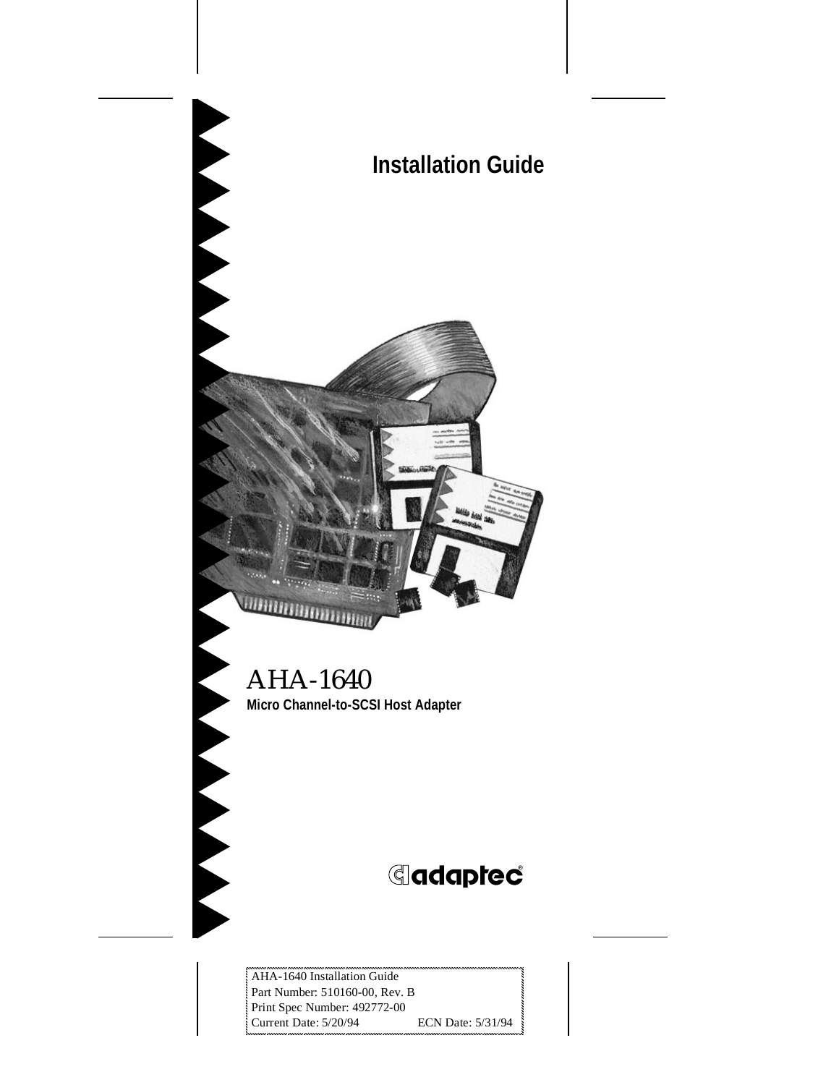# **Installation Guide**



#### AHA-1640 **Micro Channel-to-SCSI Host Adapter**

# **G**daptec®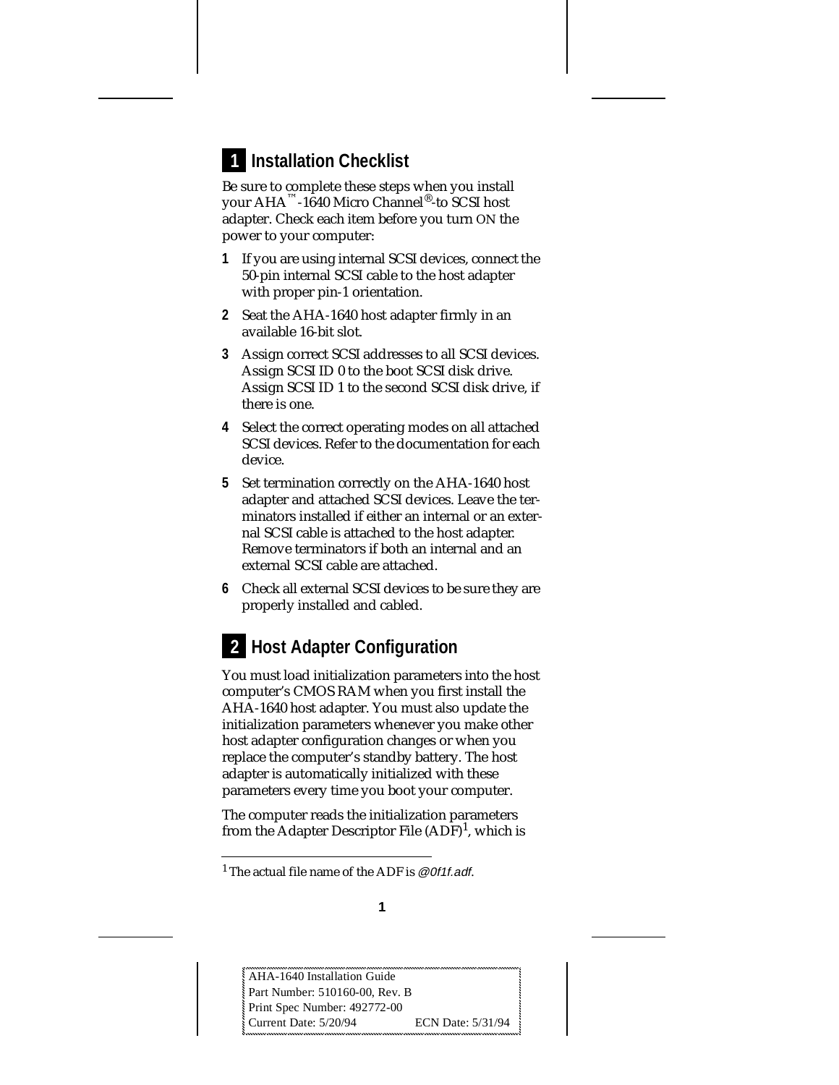## **Installation Checklist 1**

Be sure to complete these steps when you install your AHA™-1640 Micro Channel®-to SCSI host adapter. Check each item before you turn ON the power to your computer:

- **1** If you are using internal SCSI devices, connect the 50-pin internal SCSI cable to the host adapter with proper pin-1 orientation.
- **2** Seat the AHA-1640 host adapter firmly in an available 16-bit slot.
- **3** Assign correct SCSI addresses to all SCSI devices. Assign SCSI ID 0 to the boot SCSI disk drive. Assign SCSI ID 1 to the second SCSI disk drive, if there is one.
- **4** Select the correct operating modes on all attached SCSI devices. Refer to the documentation for each device.
- **5** Set termination correctly on the AHA-1640 host adapter and attached SCSI devices. Leave the terminators installed if either an internal or an external SCSI cable is attached to the host adapter. Remove terminators if both an internal and an external SCSI cable are attached.
- **6** Check all external SCSI devices to be sure they are properly installed and cabled.

## **2** Host Adapter Configuration

You must load initialization parameters into the host computer's CMOS RAM when you first install the AHA-1640 host adapter. You must also update the initialization parameters whenever you make other host adapter configuration changes or when you replace the computer's standby battery. The host adapter is automatically initialized with these parameters every time you boot your computer.

The computer reads the initialization parameters from the Adapter Descriptor File  $(ADF)^1$ , which is

<sup>&</sup>lt;sup>1</sup> The actual file name of the ADF is @0f1f.adf.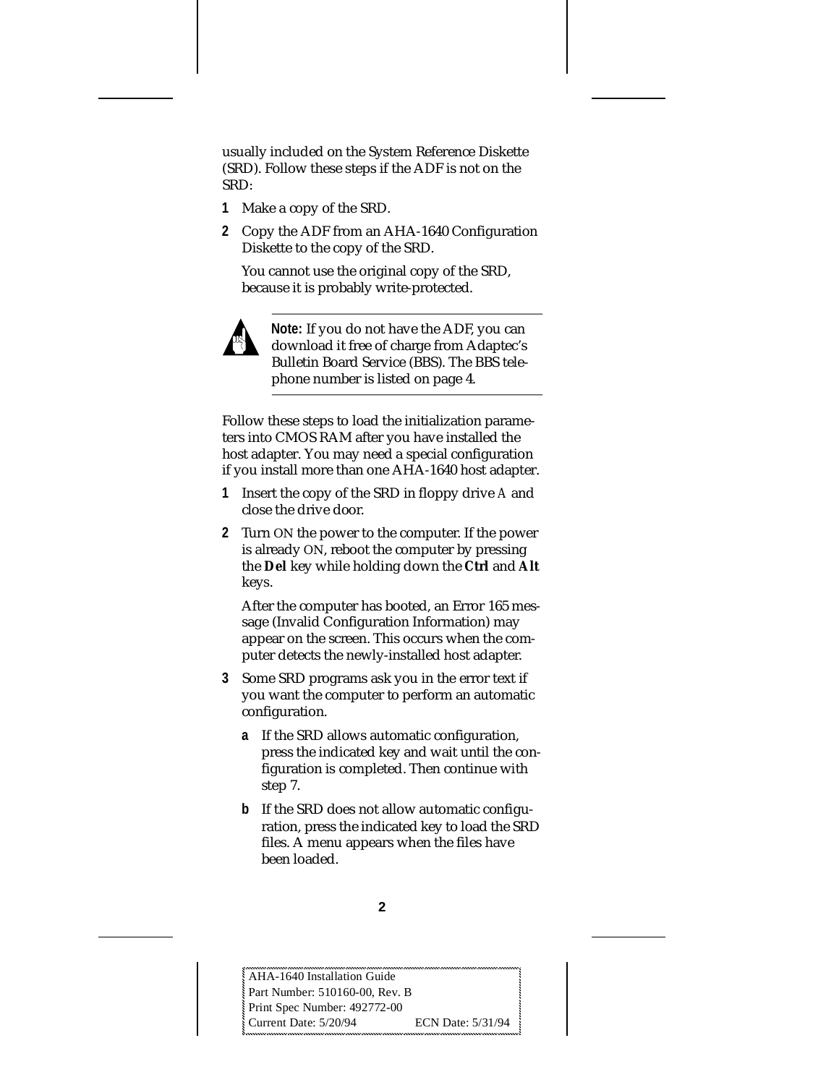usually included on the System Reference Diskette (SRD). Follow these steps if the ADF is not on the SRD:

- **1** Make a copy of the SRD.
- **2** Copy the ADF from an AHA-1640 Configuration Diskette to the copy of the SRD.

You cannot use the original copy of the SRD, because it is probably write-protected.



**Note:** If you do not have the ADF, you can download it free of charge from Adaptec's Bulletin Board Service (BBS). The BBS telephone number is listed on page 4.

Follow these steps to load the initialization parameters into CMOS RAM after you have installed the host adapter. You may need a special configuration if you install more than one AHA-1640 host adapter.

- **1** Insert the copy of the SRD in floppy drive *A* and close the drive door.
- **2** Turn ON the power to the computer. If the power is already ON, reboot the computer by pressing the **Del** key while holding down the **Ctrl** and **Alt** keys.

After the computer has booted, an Error 165 message (Invalid Configuration Information) may appear on the screen. This occurs when the computer detects the newly-installed host adapter.

- **3** Some SRD programs ask you in the error text if you want the computer to perform an automatic configuration.
	- **a** If the SRD allows automatic configuration, press the indicated key and wait until the configuration is completed. Then continue with step 7.
	- **b** If the SRD does not allow automatic configuration, press the indicated key to load the SRD files. A menu appears when the files have been loaded.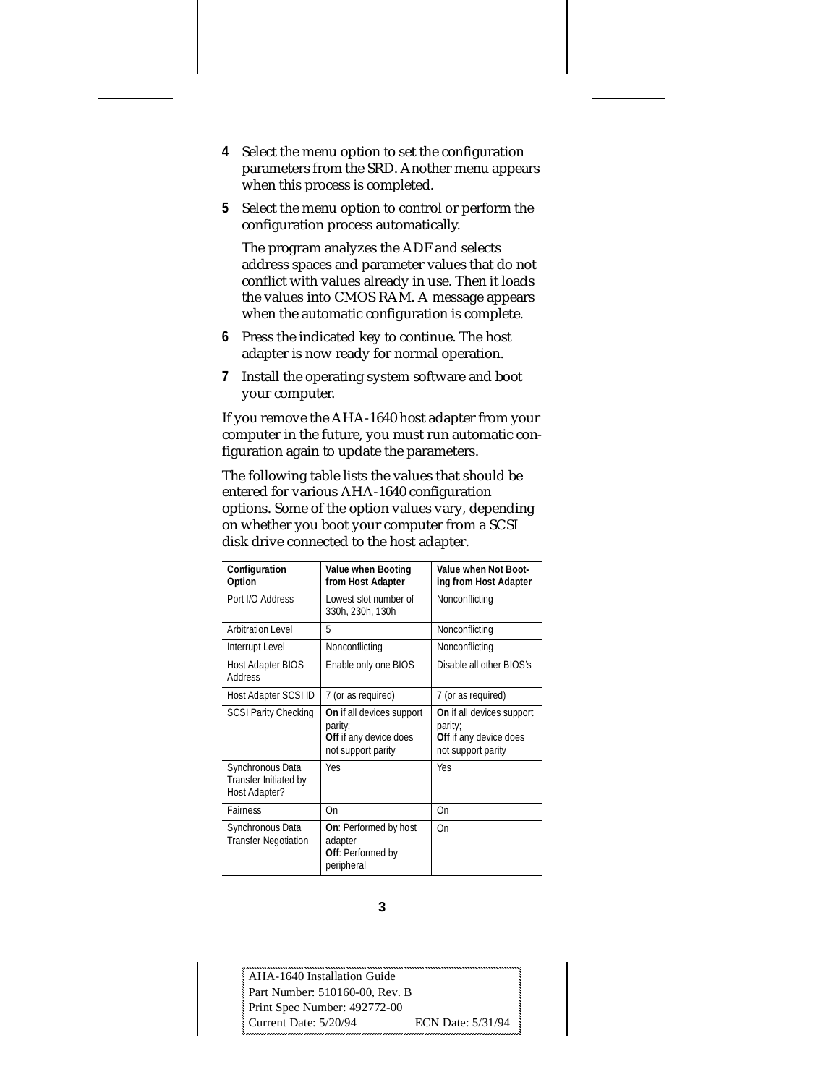- **4** Select the menu option to set the configuration parameters from the SRD. Another menu appears when this process is completed.
- **5** Select the menu option to control or perform the configuration process automatically.

The program analyzes the ADF and selects address spaces and parameter values that do not conflict with values already in use. Then it loads the values into CMOS RAM. A message appears when the automatic configuration is complete.

- **6** Press the indicated key to continue. The host adapter is now ready for normal operation.
- **7** Install the operating system software and boot your computer.

If you remove the AHA-1640 host adapter from your computer in the future, you must run automatic configuration again to update the parameters.

The following table lists the values that should be entered for various AHA-1640 configuration options. Some of the option values vary, depending on whether you boot your computer from a SCSI disk drive connected to the host adapter.

| Configuration<br>Option                                    | Value when Booting<br>from Host Adapter                                              | Value when Not Boot-<br>ing from Host Adapter                                        |
|------------------------------------------------------------|--------------------------------------------------------------------------------------|--------------------------------------------------------------------------------------|
| Port I/O Address                                           | Lowest slot number of<br>330h, 230h, 130h                                            | Nonconflicting                                                                       |
| <b>Arbitration Level</b>                                   | 5                                                                                    | Nonconflicting                                                                       |
| <b>Interrupt Level</b>                                     | Nonconflicting                                                                       | Nonconflicting                                                                       |
| <b>Host Adapter BIOS</b><br><b>Address</b>                 | Enable only one BIOS                                                                 | Disable all other BIOS's                                                             |
| Host Adapter SCSI ID                                       | 7 (or as required)                                                                   | 7 (or as required)                                                                   |
| <b>SCSI Parity Checking</b>                                | On if all devices support<br>parity;<br>Off if any device does<br>not support parity | On if all devices support<br>parity;<br>Off if any device does<br>not support parity |
| Synchronous Data<br>Transfer Initiated by<br>Host Adapter? | Yes                                                                                  | Yes                                                                                  |
| <b>Fairness</b>                                            | On                                                                                   | On                                                                                   |
| Synchronous Data<br><b>Transfer Negotiation</b>            | <b>On:</b> Performed by host<br>adapter<br>Off: Performed by<br>peripheral           | On                                                                                   |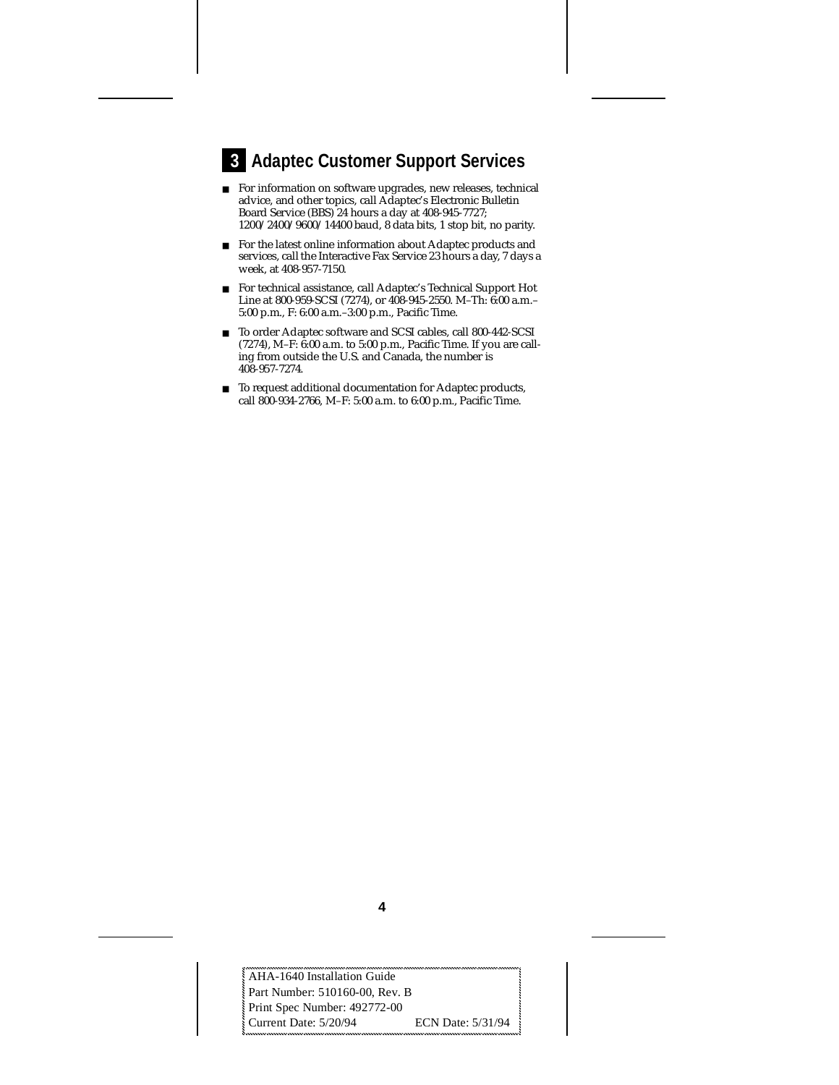### **Adaptec Customer Support Services 3**

- For information on software upgrades, new releases, technical advice, and other topics, call Adaptec's Electronic Bulletin Board Service (BBS) 24 hours a day at 408-945-7727; 1200/2400/9600/14400 baud, 8 data bits, 1 stop bit, no parity.
- For the latest online information about Adaptec products and services, call the Interactive Fax Service 23 hours a day, 7 days a week, at 408-957-7150.
- For technical assistance, call Adaptec's Technical Support Hot Line at 800-959-SCSI (7274), or 408-945-2550. M–Th: 6:00 a.m.– 5:00 p.m., F: 6:00 a.m.–3:00 p.m., Pacific Time.
- To order Adaptec software and SCSI cables, call 800-442-SCSI (7274), M–F: 6:00 a.m. to 5:00 p.m., Pacific Time. If you are calling from outside the U.S. and Canada, the number is 408-957-7274.
- To request additional documentation for Adaptec products, call 800-934-2766, M–F: 5:00 a.m. to 6:00 p.m., Pacific Time.